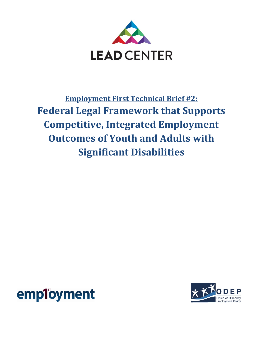

**Employment First Technical Brief #2: Federal Legal Framework that Supports Competitive, Integrated Employment Outcomes of Youth and Adults with Significant Disabilities**



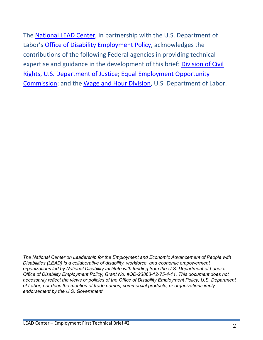The [National LEAD Center,](http://www.leadcenter.org/) in partnership with the U.S. Department of Labor's [Office of Disability Employment Policy,](http://www.dol.gov/odep/) acknowledges the contributions of the following Federal agencies in providing technical expertise and guidance in the development of this brief: [Division of Civil](http://www.justice.gov/crt/)  [Rights, U.S. Department of Justice;](http://www.justice.gov/crt/) [Equal Employment Opportunity](http://www.eeoc.gov/)  [Commission;](http://www.eeoc.gov/) and the [Wage and Hour Division,](http://www.dol.gov/whd/) U.S. Department of Labor.

*The National Center on Leadership for the Employment and Economic Advancement of People with Disabilities (LEAD) is a collaborative of disability, workforce, and economic empowerment organizations led by National Disability Institute with funding from the U.S. Department of Labor's Office of Disability Employment Policy, Grant No. #OD-23863-12-75-4-11. This document does not necessarily reflect the views or policies of the Office of Disability Employment Policy, U.S. Department of Labor, nor does the mention of trade names, commercial products, or organizations imply endorsement by the U.S. Government.*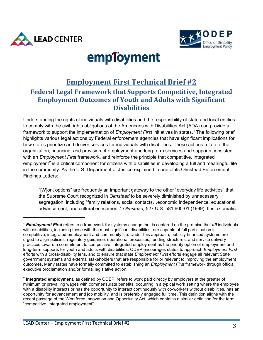



# employment

# **Employment First Technical Brief #2 Federal Legal Framework that Supports Competitive, Integrated Employment Outcomes of Youth and Adults with Significant Disabilities**

Understanding the rights of individuals with disabilities and the responsibility of state and local entities to comply with the civil rights obligations of the Americans with Disabilities Act (ADA) can provide a framework to support the implementation of *Employment First* initiatives in states.[1](#page-2-0) The following brief highlights various legal actions by Federal enforcement agencies that have significant implications for how states prioritize and deliver services for individuals with disabilities. These actions relate to the organization, financing, and provision of employment and long-term services and supports consistent with an *Employment First* framework, and reinforce the principle that competitive, integrated employment<sup>[2](#page-2-1)</sup> is a critical component for citizens with disabilities in developing a full and meaningful life in the community. As the U.S. Department of Justice explained in one of its Olmstead Enforcement Findings Letters:

"[W]ork options" are frequently an important gateway to the other "everyday life activities" that the Supreme Court recognized in *Olmstead* to be severely diminished by unnecessary segregation, including "family relations, social contacts…economic independence, educational advancement, and cultural enrichment." *Olmstead,* 527 U.S. 581,600-01 (1999). It is axiomatic

<span id="page-2-0"></span><sup>1</sup> *Employment First* refers to a framework for systems change that is centered on the premise that *all* individuals with disabilities, including those with the most significant disabilities, are capable of full participation in competitive, integrated employment and community life. Under this approach, publicly-financed systems are urged to align policies, regulatory guidance, operational processes, funding structures, and service delivery practices toward a commitment to competitive, integrated employment as the priority option of employment and long-term supports for youth and adults with disabilities. ODEP encourages states to approach *Employment First*  efforts with a cross-disability lens, and to ensure that state *Employment First* efforts engage all relevant State government systems and external stakeholders that are responsible for or relevant to improving the employment outcomes. Many states have formally committed to establishing an *Employment First* framework through official executive proclamation and/or formal legislative action.

<span id="page-2-1"></span><sup>2</sup> **Integrated employment**, as defined by ODEP, refers to work paid directly by employers at the greater of minimum or prevailing wages with commensurate benefits, occurring in a typical work setting where the employee with a disability interacts or has the opportunity to interact continuously with co-workers without disabilities, has an opportunity for advancement and job mobility, and is preferably engaged full time. This definition aligns with the recent passage of the Workforce Innovation and Opportunity Act, which contains a similar definition for the term "competitive, integrated employment".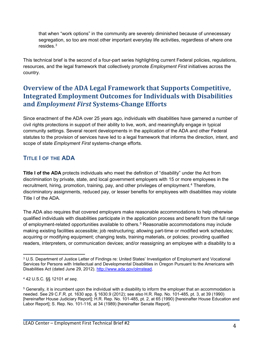that when "work options" in the community are severely diminished because of unnecessary segregation, so too are most other important everyday life activities, regardless of where one resides. $3$ 

This technical brief is the second of a four-part series highlighting current Federal policies, regulations, resources, and the legal framework that collectively promote *Employment First* initiatives across the country.

# **Overview of the ADA Legal Framework that Supports Competitive, Integrated Employment Outcomes for Individuals with Disabilities and** *Employment First* **Systems-Change Efforts**

Since enactment of the ADA over 25 years ago, individuals with disabilities have garnered a number of civil rights protections in support of their ability to live, work, and meaningfully engage in typical community settings. Several recent developments in the application of the ADA and other Federal statutes to the provision of services have led to a legal framework that informs the direction, intent, and scope of state *Employment First* systems-change efforts.

## **TITLE I OF THE ADA**

**Title I of the ADA** protects individuals who meet the definition of "disability" under the Act from discrimination by private, state, and local government employers with 15 or more employees in the recruitment, hiring, promotion, training, pay, and other privileges of employment.<sup>[4](#page-3-1)</sup> Therefore, discriminatory assignments, reduced pay, or lesser benefits for employees with disabilities may violate Title I of the ADA.

The ADA also requires that covered employers make reasonable accommodations to help otherwise qualified individuals with disabilities participate in the application process and benefit from the full range of employment-related opportunities available to others.<sup>[5](#page-3-2)</sup> Reasonable accommodations may include making existing facilities accessible; job restructuring; allowing part-time or modified work schedules; acquiring or modifying equipment; changing tests, training materials, or policies; providing qualified readers, interpreters, or communication devices; and/or reassigning an employee with a disability to a

<span id="page-3-0"></span><sup>3</sup> U.S. Department of Justice Letter of Findings re: United States' Investigation of Employment and Vocational Services for Persons with Intellectual and Developmental Disabilities in Oregon Pursuant to the Americans with Disabilities Act (dated June 29, 2012). [http://www.ada.gov/olmstead.](http://www.ada.gov/olmstead)

<span id="page-3-1"></span><sup>4</sup> 42 U.S.C. §§ 12101 *et seq*.

<span id="page-3-2"></span><sup>5</sup> Generally, it is incumbent upon the individual with a disability to inform the employer that an accommodation is needed. See 29 C.F.R. pt. 1630 app. § 1630.9 (2012); see also H.R. Rep. No. 101-485, pt. 3, at 39 (1990) [hereinafter House Judiciary Report]; H.R. Rep. No. 101-485, pt. 2, at 65 (1990) [hereinafter House Education and Labor Report]; S. Rep. No. 101-116, at 34 (1989) [hereinafter Senate Report].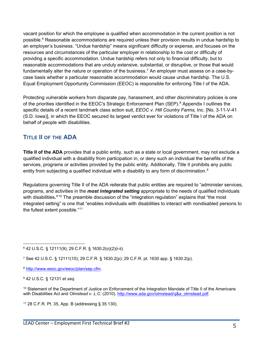vacant position for which the employee is qualified when accommodation in the current position is not possible. [6](#page-4-0) Reasonable accommodations are required unless their provision results in undue hardship to an employer's business. "Undue hardship" means significant difficulty or expense, and focuses on the resources and circumstances of the particular employer in relationship to the cost or difficulty of providing a specific accommodation. Undue hardship refers not only to financial difficulty, but to reasonable accommodations that are unduly extensive, substantial, or disruptive, or those that would fundamentally alter the nature or operation of the business.<sup>[7](#page-4-1)</sup> An employer must assess on a case-bycase basis whether a particular reasonable accommodation would cause undue hardship. The U.S. Equal Employment Opportunity Commission (EEOC) is responsible for enforcing Title I of the ADA.

Protecting vulnerable workers from disparate pay, harassment, and other discriminatory policies is one of the priorities identified in the EEOC's Strategic Enforcement Plan (SEP).<sup>[8](#page-4-2)</sup> Appendix I outlines the specific details of a recent landmark class action suit, *EEOC v. Hill Country Farms,* Inc. [No. 3-11-V-41 (S.D. Iowa)], in which the EEOC secured its largest verdict ever for violations of Title I of the ADA on behalf of people with disabilities.

## **TITLE II OF THE ADA**

**Title II of the ADA** provides that a public entity, such as a state or local government, may not exclude a qualified individual with a disability from participation in, or deny such an individual the benefits of the services, programs or activities provided by the public entity. Additionally, Title II prohibits any public entity from subjecting a qualified individual with a disability to any form of discrimination.<sup>[9](#page-4-3)</sup>

Regulations governing Title II of the ADA reiterate that public entities are required to "administer services, programs, and activities in the *most integrated setting* appropriate to the needs of qualified individuals with disabilities**."**[10](#page-4-4) The preamble discussion of the "integration regulation" explains that "the most integrated setting" is one that "enables individuals with disabilities to interact with nondisabled persons to the fullest extent possible."[11](#page-4-5)

<span id="page-4-0"></span><sup>6</sup> 42 U.S.C. § 12111(9); 29 C.F.R. § 1630.2(o)(2)(i-ii).

<span id="page-4-1"></span><sup>7</sup> See 42 U.S.C. § 12111(10); 29 C.F.R. § 1630.2(p); 29 C.F.R. pt. 1630 app. § 1630.2(p).

<span id="page-4-2"></span><sup>8</sup> [http://www.eeoc.gov/eeoc/plan/sep.cfm.](http://www.eeoc.gov/eeoc/plan/sep.cfm)

<span id="page-4-3"></span><sup>9</sup> 42 U.S.C. § 12131 *et seq.*

<span id="page-4-4"></span><sup>10</sup> Statement of the Department of Justice on Enforcement of the Integration Mandate of Title II of the Americans with Disabilities Act and *Olmstead v. L.C.* (2010). [http://www.ada.gov/olmstead/q&a\\_olmstead.pdf.](http://www.ada.gov/olmstead/q&a_olmstead.pdf)

<span id="page-4-5"></span><sup>11</sup> 28 C.F.R. Pt. 35, App. B (addressing § 35.130).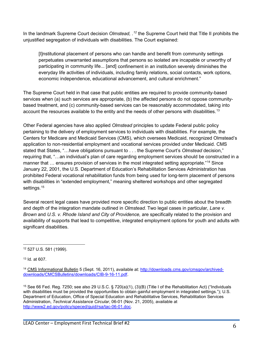In the landmark Supreme Court decision *Olmstead, .[12](#page-5-0)* the Supreme Court held that Title II prohibits the unjustified segregation of individuals with disabilities. The Court explained:

[I]nstitutional placement of persons who can handle and benefit from community settings perpetuates unwarranted assumptions that persons so isolated are incapable or unworthy of participating in community life... [and] confinement in an institution severely diminishes the everyday life activities of individuals, including family relations, social contacts, work options, economic independence, educational advancement, and cultural enrichment."

The Supreme Court held in that case that public entities are required to provide community-based services when (a) such services are appropriate, (b) the affected persons do not oppose communitybased treatment, and (c) community-based services can be reasonably accommodated, taking into account the resources available to the entity and the needs of other persons with disabilities.<sup>13</sup>

Other Federal agencies have also applied *Olmstead* principles to update Federal public policy pertaining to the delivery of employment services to individuals with disabilities. For example, the Centers for Medicare and Medicaid Services (CMS), which oversees Medicaid, recognized Olmstead's application to non-residential employment and vocational services provided under Medicaid. CMS stated that States, "…have obligations pursuant to . . . the Supreme Court's *Olmstead* decision," requiring that, "…an individual's plan of care regarding employment services should be constructed in a manner that ... ensures provision of services in the most integrated setting appropriate."<sup>[14](#page-5-2)</sup> Since January 22, 2001, the U.S. Department of Education's Rehabilitation Services Administration has prohibited Federal vocational rehabilitation funds from being used for long-term placement of persons with disabilities in "extended employment," meaning sheltered workshops and other segregated settings.<sup>[15](#page-5-3)</sup>

Several recent legal cases have provided more specific direction to public entities about the breadth and depth of the integration mandate outlined in *Olmstead.* Two legal cases in particular, *Lane v. Brown* and *U.S. v. Rhode Island and City of Providence,* are specifically related to the provision and availability of supports that lead to competitive, integrated employment options for youth and adults with significant disabilities.

<span id="page-5-3"></span><sup>15</sup> See 66 Fed. Reg. 7250; see also 29 U.S.C. § 720(a)(1), (3)(B) (Title I of the Rehabilitation Act) ("Individuals with disabilities must be provided the opportunities to obtain gainful employment in integrated settings."); U.S. Department of Education, Office of Special Education and Rehabilitative Services, Rehabilitation Services Administration, *Technical Assistance Circular*, 06-01 (Nov. 21, 2005), available at [http://www2.ed.gov/policy/speced/guid/rsa/tac-06-01.doc.](http://www2.ed.gov/policy/speced/guid/rsa/tac-06-01.doc)

<span id="page-5-0"></span><sup>12</sup> 527 U.S. 581 (1999).

<span id="page-5-1"></span><sup>13</sup> Id. at 607.

<span id="page-5-2"></span><sup>&</sup>lt;sup>14</sup> CMS Informational Bulletin 5 (Sept. 16, 2011), available at: [http://downloads.cms.gov/cmsgov/archived](http://downloads.cms.gov/cmsgov/archived-downloads/CMCSBulletins/downloads/CIB-9-16-11.pdf)[downloads/CMCSBulletins/downloads/CIB-9-16-11.pdf.](http://downloads.cms.gov/cmsgov/archived-downloads/CMCSBulletins/downloads/CIB-9-16-11.pdf)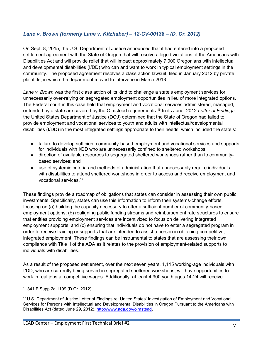#### *Lane v. Brown (formerly Lane v. Kitzhaber) – 12-CV-00138 – (D. Or. 2012)*

On Sept. 8, 2015, the U.S. Department of Justice announced that it had entered into a proposed settlement agreement with the State of Oregon that will resolve alleged violations of the Americans with Disabilities Act and will provide relief that will impact approximately 7,000 Oregonians with intellectual and developmental disabilities (I/DD) who can and want to work in typical employment settings in the community. The proposed agreement resolves a class action lawsuit, filed in January 2012 by private plaintiffs, in which the department moved to intervene in March 2013.

*Lane v. Brown* was the first class action of its kind to challenge a state's employment services for unnecessarily over-relying on segregated employment opportunities in lieu of more integrated options. The Federal court in this case held that employment and vocational services administered, managed, or funded by a state are covered by the Olmstead requirements.[16](#page-6-0) In its June, 2012 *Letter of Findings*, the United States Department of Justice (DOJ) determined that the State of Oregon had failed to provide employment and vocational services to youth and adults with intellectual/developmental disabilities (I/DD) in the most integrated settings appropriate to their needs, which included the state's:

- failure to develop sufficient community-based employment and vocational services and supports for individuals with I/DD who are unnecessarily confined to sheltered workshops;
- direction of available resources to segregated sheltered workshops rather than to communitybased services; and
- use of systemic criteria and methods of administration that unnecessarily require individuals with disabilities to attend sheltered workshops in order to access and receive employment and vocational services.[17](#page-6-1)

These findings provide a roadmap of obligations that states can consider in assessing their own public investments. Specifically, states can use this information to inform their systems-change efforts, focusing on (a) building the capacity necessary to offer a sufficient number of community-based employment options; (b) realigning public funding streams and reimbursement rate structures to ensure that entities providing employment services are incentivized to focus on delivering integrated employment supports; and (c) ensuring that individuals do not have to enter a segregated program in order to receive training or supports that are intended to assist a person in obtaining competitive, integrated employment. These findings can be instrumental to states that are assessing their own compliance with Title II of the ADA as it relates to the provision of employment-related supports to individuals with disabilities.

As a result of the proposed settlement, over the next seven years, 1,115 working-age individuals with I/DD, who are currently being served in segregated sheltered workshops, will have opportunities to work in real jobs at competitive wages. Additionally, at least 4,900 youth ages 14-24 will receive

<span id="page-6-0"></span><sup>16</sup> 841 F.Supp.2d 1199 (D.Or. 2012).

<span id="page-6-1"></span><sup>17</sup> U.S. Department of Justice Letter of Findings re: United States' Investigation of Employment and Vocational Services for Persons with Intellectual and Developmental Disabilities in Oregon Pursuant to the Americans with Disabilities Act (dated June 29, 2012). [http://www.ada.gov/olmstead.](http://www.ada.gov/olmstead)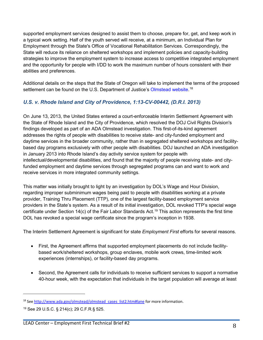supported employment services designed to assist them to choose, prepare for, get, and keep work in a typical work setting. Half of the youth served will receive, at a minimum, an Individual Plan for Employment through the State's Office of Vocational Rehabilitation Services. Correspondingly, the State will reduce its reliance on sheltered workshops and implement policies and capacity-building strategies to improve the employment system to increase access to competitive integrated employment and the opportunity for people with I/DD to work the maximum number of hours consistent with their abilities and preferences.

Additional details on the steps that the State of Oregon will take to implement the terms of the proposed settlement can be found on the U.S. Department of Justice's [Olmstead website.](http://www.ada.gov/olmstead/olmstead_cases_list2.htm#lane)<sup>[18](#page-7-0)</sup>

### *U.S. v. Rhode Island and City of Providence, 1:13-CV-00442, (D.R.I. 2013)*

On June 13, 2013, the United States entered a court-enforceable Interim Settlement Agreement with the State of Rhode Island and the City of Providence, which resolved the DOJ Civil Rights Division's findings developed as part of an ADA Olmstead investigation. This first-of-its-kind agreement addresses the rights of people with disabilities to receive state- and city-funded employment and daytime services in the broader community, rather than in segregated sheltered workshops and facilitybased day programs exclusively with other people with disabilities. DOJ launched an ADA investigation in January 2013 into Rhode Island's day activity service system for people with intellectual/developmental disabilities, and found that the majority of people receiving state- and cityfunded employment and daytime services through segregated programs can and want to work and receive services in more integrated community settings.

This matter was initially brought to light by an investigation by DOL's Wage and Hour Division, regarding improper subminimum wages being paid to people with disabilities working at a private provider, Training Thru Placement (TTP), one of the largest facility-based employment service providers in the State's system. As a result of its initial investigation, DOL revoked TTP's special wage certificate under Section 14(c) of the Fair Labor Standards Act. [19](#page-7-1) This action represents the first time DOL has revoked a special wage certificate since the program's inception in 1938.

The Interim Settlement Agreement is significant for state *Employment First* efforts for several reasons.

- First, the Agreement affirms that supported employment placements do not include facilitybased work/sheltered workshops, group enclaves, mobile work crews, time-limited work experiences (internships), or facility-based day programs.
- Second, the Agreement calls for individuals to receive sufficient services to support a normative 40-hour week, with the expectation that individuals in the target population will average at least

<span id="page-7-0"></span><sup>&</sup>lt;sup>18</sup> Se[e http://www.ada.gov/olmstead/olmstead\\_cases\\_list2.htm#lane](http://www.ada.gov/olmstead/olmstead_cases_list2.htm#lane) for more information.

<span id="page-7-1"></span><sup>19</sup> See 29 U.S.C. § 214(c); 29 C.F.R.§ 525.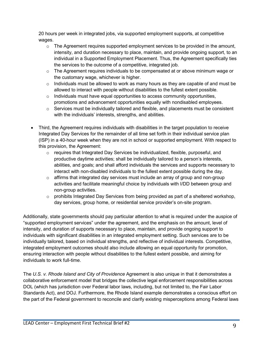20 hours per week in integrated jobs, via supported employment supports, at competitive wages.

- $\circ$  The Agreement requires supported employment services to be provided in the amount, intensity, and duration necessary to place, maintain, and provide ongoing support, to an individual in a Supported Employment Placement. Thus, the Agreement specifically ties the services to the outcome of a competitive, integrated job.
- $\circ$  The Agreement requires individuals to be compensated at or above minimum wage or the customary wage, whichever is higher.
- $\circ$  Individuals must be allowed to work as many hours as they are capable of and must be allowed to interact with people without disabilities to the fullest extent possible.
- $\circ$  Individuals must have equal opportunities to access community opportunities, promotions and advancement opportunities equally with nondisabled employees.
- o Services must be individually tailored and flexible, and placements must be consistent with the individuals' interests, strengths, and abilities.
- Third, the Agreement requires individuals with disabilities in the target population to receive Integrated Day Services for the remainder of all time set forth in their individual service plan (ISP) in a 40-hour week when they are not in school or supported employment. With respect to this provision, the Agreement:
	- $\circ$  requires that Integrated Day Services be individualized, flexible, purposeful, and productive daytime activities; shall be individually tailored to a person's interests, abilities, and goals; and shall afford individuals the services and supports necessary to interact with non-disabled individuals to the fullest extent possible during the day.
	- $\circ$  affirms that integrated day services must include an array of group and non-group activities and facilitate meaningful choice by individuals with I/DD between group and non-group activities.
	- $\circ$  prohibits Integrated Day Services from being provided as part of a sheltered workshop, day services, group home, or residential service provider's on-site program.

Additionally, state governments should pay particular attention to what is required under the auspice of "supported employment services" under the agreement, and the emphasis on the amount, level of intensity, and duration of supports necessary to place, maintain, and provide ongoing support to individuals with significant disabilities in an integrated employment setting. Such services are to be individually tailored, based on individual strengths, and reflective of individual interests. Competitive, integrated employment outcomes should also include allowing an equal opportunity for promotion, ensuring interaction with people without disabilities to the fullest extent possible, and aiming for individuals to work full-time.

The *U.S. v. Rhode Island and City of Providence* Agreement is also unique in that it demonstrates a collaborative enforcement model that bridges the collective legal enforcement responsibilities across DOL (which has jurisdiction over Federal labor laws, including, but not limited to, the Fair Labor Standards Act), and DOJ. Furthermore, the Rhode Island example demonstrates a conscious effort on the part of the Federal government to reconcile and clarify existing misperceptions among Federal laws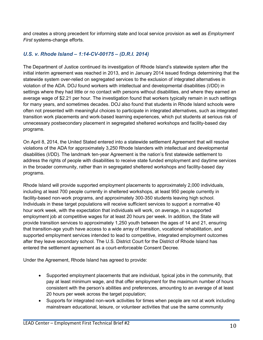and creates a strong precedent for informing state and local service provision as well as *Employment First* systems-change efforts.

#### *U.S. v. Rhode Island – 1:14-CV-00175 – (D.R.I. 2014)*

The Department of Justice continued its investigation of Rhode Island's statewide system after the initial interim agreement was reached in 2013, and in January 2014 issued findings determining that the statewide system over-relied on segregated services to the exclusion of integrated alternatives in violation of the ADA. DOJ found workers with intellectual and developmental disabilities (I/DD) in settings where they had little or no contact with persons without disabilities, and where they earned an average wage of \$2.21 per hour. The investigation found that workers typically remain in such settings for many years, and sometimes decades. DOJ also found that students in Rhode Island schools were often not presented with meaningful choices to participate in integrated alternatives, such as integrated transition work placements and work-based learning experiences, which put students at serious risk of unnecessary postsecondary placement in segregated sheltered workshops and facility-based day programs.

On April 8, 2014, the United Stated entered into a statewide settlement Agreement that will resolve violations of the ADA for approximately 3,250 Rhode Islanders with intellectual and developmental disabilities (I/DD). The landmark ten-year Agreement is the nation's first statewide settlement to address the rights of people with disabilities to receive state funded employment and daytime services in the broader community, rather than in segregated sheltered workshops and facility-based day programs.

Rhode Island will provide supported employment placements to approximately 2,000 individuals, including at least 700 people currently in sheltered workshops, at least 950 people currently in facility-based non-work programs, and approximately 300-350 students leaving high school. Individuals in these target populations will receive sufficient services to support a normative 40 hour work week, with the expectation that individuals will work, on average, in a supported employment job at competitive wages for at least 20 hours per week. In addition, the State will provide transition services to approximately 1,250 youth between the ages of 14 and 21, ensuring that transition-age youth have access to a wide array of transition, vocational rehabilitation, and supported employment services intended to lead to competitive, integrated employment outcomes after they leave secondary school. The U.S. District Court for the District of Rhode Island has entered the settlement agreement as a court-enforceable Consent Decree.

Under the Agreement, Rhode Island has agreed to provide:

- Supported employment placements that are individual, typical jobs in the community, that pay at least minimum wage, and that offer employment for the maximum number of hours consistent with the person's abilities and preferences, amounting to an average of at least 20 hours per week across the target population;
- Supports for integrated non-work activities for times when people are not at work including mainstream educational, leisure, or volunteer activities that use the same community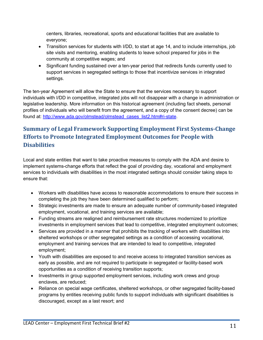centers, libraries, recreational, sports and educational facilities that are available to everyone;

- Transition services for students with I/DD, to start at age 14, and to include internships, job site visits and mentoring, enabling students to leave school prepared for jobs in the community at competitive wages; and
- Significant funding sustained over a ten-year period that redirects funds currently used to support services in segregated settings to those that incentivize services in integrated settings.

The ten-year Agreement will allow the State to ensure that the services necessary to support individuals with I/DD in competitive, integrated jobs will not disappear with a change in administration or legislative leadership. More information on this historical agreement (including fact sheets, personal profiles of individuals who will benefit from the agreement, and a copy of the consent decree) can be found at: [http://www.ada.gov/olmstead/olmstead\\_cases\\_list2.htm#ri-state.](http://www.ada.gov/olmstead/olmstead_cases_list2.htm#ri-state)

# **Summary of Legal Framework Supporting Employment First Systems-Change Efforts to Promote Integrated Employment Outcomes for People with Disabilities**

Local and state entities that want to take proactive measures to comply with the ADA and desire to implement systems-change efforts that reflect the goal of providing day, vocational and employment services to individuals with disabilities in the most integrated settings should consider taking steps to ensure that:

- Workers with disabilities have access to reasonable accommodations to ensure their success in completing the job they have been determined qualified to perform;
- Strategic investments are made to ensure an adequate number of community-based integrated employment, vocational, and training services are available;
- Funding streams are realigned and reimbursement rate structures modernized to prioritize investments in employment services that lead to competitive, integrated employment outcomes;
- Services are provided in a manner that prohibits the tracking of workers with disabilities into sheltered workshops or other segregated settings as a condition of accessing vocational, employment and training services that are intended to lead to competitive, integrated employment;
- Youth with disabilities are exposed to and receive access to integrated transition services as early as possible, and are not required to participate in segregated or facility-based work opportunities as a condition of receiving transition supports;
- Investments in group supported employment services, including work crews and group enclaves, are reduced;
- Reliance on special wage certificates, sheltered workshops, or other segregated facility-based programs by entities receiving public funds to support individuals with significant disabilities is discouraged, except as a last resort; and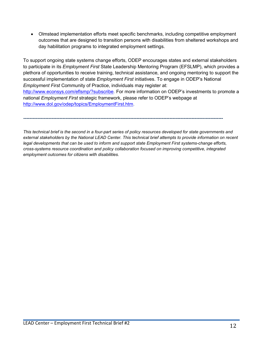• Olmstead implementation efforts meet specific benchmarks, including competitive employment outcomes that are designed to transition persons with disabilities from sheltered workshops and day habilitation programs to integrated employment settings.

To support ongoing state systems change efforts, ODEP encourages states and external stakeholders to participate in its *Employment First* State Leadership Mentoring Program (EFSLMP), which provides a plethora of opportunities to receive training, technical assistance, and ongoing mentoring to support the successful implementation of state *Employment First* initiatives. To engage in ODEP's National *Employment First* Community of Practice, individuals may register at: [http://www.econsys.com/eflsmp/?subscribe.](http://www.econsys.com/eflsmp/?subscribe) For more information on ODEP's investments to promote a national *Employment First* strategic framework, please refer to ODEP's webpage at [http://www.dol.gov/odep/topics/EmploymentFirst.htm.](http://www.dol.gov/odep/topics/EmploymentFirst.htm)

**-------------------------------------------------------------------------------------------------------------------------------**

*This technical brief is the second in a four-part series of policy resources developed for state governments and external stakeholders by the National LEAD Center. This technical brief attempts to provide information on recent legal developments that can be used to inform and support state Employment First systems-change efforts, cross-systems resource coordination and policy collaboration focused on improving competitive, integrated employment outcomes for citizens with disabilities.*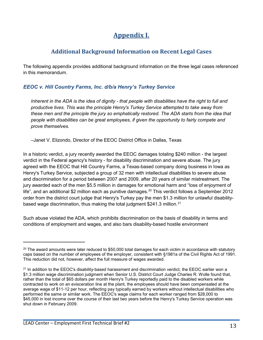# **Appendix I.**

## **Additional Background Information on Recent Legal Cases**

The following appendix provides additional background information on the three legal cases referenced in this memorandum.

#### *EEOC v. Hill Country Farms, Inc. d/b/a Henry's Turkey Service*

*Inherent in the ADA is the idea of dignity - that people with disabilities have the right to full and productive lives. This was the principle Henry's Turkey Service attempted to take away from these men and the principle the jury so emphatically restored. The ADA starts from the idea that people with disabilities can be great employees, if given the opportunity to fairly compete and prove themselves.* 

*–*Janet V. Elizondo, Director of the EEOC District Office in Dallas, Texas

In a historic verdict, a jury recently awarded the EEOC damages totaling \$240 million - the largest verdict in the Federal agency's history - for disability discrimination and severe abuse. The jury agreed with the EEOC that Hill Country Farms, a Texas-based company doing business in Iowa as Henry's Turkey Service, subjected a group of 32 men with intellectual disabilities to severe abuse and discrimination for a period between 2007 and 2009, after 20 years of similar mistreatment. The jury awarded each of the men \$5.5 million in damages for emotional harm and "loss of enjoyment of life", and an additional \$2 million each as punitive damages.<sup>20</sup> This verdict follows a September 2012 order from the district court judge that Henry's Turkey pay the men \$1.3 million for unlawful disability-based wage discrimination, thus making the total judgment \$241.3 million.<sup>[21](#page-12-1)</sup>

Such abuse violated the ADA, which prohibits discrimination on the basis of disability in terms and conditions of employment and wages, and also bars disability-based hostile environment

<span id="page-12-0"></span> $20$  The award amounts were later reduced to \$50,000 total damages for each victim in accordance with statutory caps based on the number of employees of the employer, consistent with §1981a of the Civil Rights Act of 1991. This reduction did not, however, affect the full measure of wages awarded.

<span id="page-12-1"></span><sup>&</sup>lt;sup>21</sup> In addition to the EEOC's disability-based harassment and discrimination verdict, the EEOC earlier won a \$1.3 million wage discrimination judgment when Senior U.S. District Court Judge Charles R. Wolle found that, rather than the total of \$65 dollars per month Henry's Turkey reportedly paid to the disabled workers while contracted to work on an evisceration line at the plant, the employees should have been compensated at the average wage of \$11-12 per hour, reflecting pay typically earned by workers without intellectual disabilities who performed the same or similar work. The EEOC's wage claims for each worker ranged from \$28,000 to \$45,000 in lost income over the course of their last two years before the Henry's Turkey Service operation was shut down in February 2009.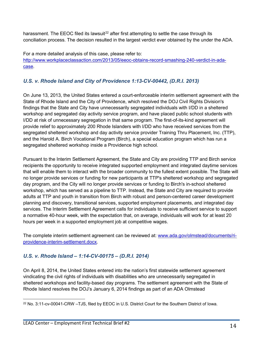harassment. The EEOC filed its lawsuit<sup>[22](#page-13-0)</sup> after first attempting to settle the case through its conciliation process. The decision resulted in the largest verdict ever obtained by the under the ADA.

For a more detailed analysis of this case, please refer to: [http://www.workplaceclassaction.com/2013/05/eeoc-obtains-record-smashing-240-verdict-in-ada](http://www.workplaceclassaction.com/2013/05/eeoc-obtains-record-smashing-240-verdict-in-ada-case)[case](http://www.workplaceclassaction.com/2013/05/eeoc-obtains-record-smashing-240-verdict-in-ada-case).

## *U.S. v. Rhode Island and City of Providence 1:13-CV-00442, (D.R.I. 2013)*

On June 13, 2013, the United States entered a court-enforceable interim settlement agreement with the State of Rhode Island and the City of Providence, which resolved the DOJ Civil Rights Division's findings that the State and City have unnecessarily segregated individuals with I/DD in a sheltered workshop and segregated day activity service program, and have placed public school students with I/DD at risk of unnecessary segregation in that same program. The first-of-its-kind agreement will provide relief to approximately 200 Rhode Islanders with I/DD who have received services from the segregated sheltered workshop and day activity service provider Training Thru Placement, Inc. (TTP), and the Harold A. Birch Vocational Program (Birch), a special education program which has run a segregated sheltered workshop inside a Providence high school.

Pursuant to the Interim Settlement Agreement, the State and City are providing TTP and Birch service recipients the opportunity to receive integrated supported employment and integrated daytime services that will enable them to interact with the broader community to the fullest extent possible. The State will no longer provide services or funding for new participants at TTP's sheltered workshop and segregated day program, and the City will no longer provide services or funding to Birch's in-school sheltered workshop, which has served as a pipeline to TTP. Instead, the State and City are required to provide adults at TTP and youth in transition from Birch with robust and person-centered career development planning and discovery, transitional services, supported employment placements, and integrated day services. The Interim Settlement Agreement calls for individuals to receive sufficient service to support a normative 40-hour week, with the expectation that, on average, individuals will work for at least 20 hours per week in a supported employment job at competitive wages.

The complete interim settlement agreement can be reviewed at: [www.ada.gov/olmstead/documents/ri](http://www.ada.gov/olmstead/documents/ri-providence-interim-settlement.docx)[providence-interim-settlement.docx.](http://www.ada.gov/olmstead/documents/ri-providence-interim-settlement.docx)

## *U.S. v. Rhode Island – 1:14-CV-00175 – (D.R.I. 2014)*

On April 8, 2014, the United States entered into the nation's first statewide settlement agreement vindicating the civil rights of individuals with disabilities who are unnecessarily segregated in sheltered workshops and facility-based day programs. The settlement agreement with the State of Rhode Island resolves the DOJ's January 6, 2014 findings as part of an ADA Olmstead

<span id="page-13-0"></span><sup>22</sup> No. 3:11-cv-00041-CRW –TJS, filed by EEOC in U.S. District Court for the Southern District of Iowa.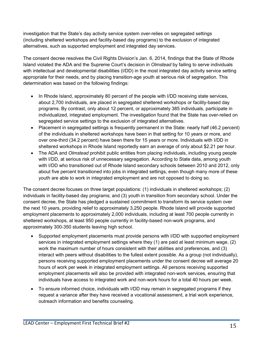investigation that the State's day activity service system over-relies on segregated settings (including sheltered workshops and facility-based day programs) to the exclusion of integrated alternatives, such as supported employment and integrated day services.

The consent decree resolves the Civil Rights Division's Jan. 6, 2014, findings that the State of Rhode Island violated the ADA and the Supreme Court's decision in *Olmstead* by failing to serve individuals with intellectual and developmental disabilities (I/DD) in the most integrated day activity service setting appropriate for their needs, and by placing transition-age youth at serious risk of segregation. This determination was based on the following findings:

- In Rhode Island, approximately 80 percent of the people with I/DD receiving state services, about 2,700 individuals, are placed in segregated sheltered workshops or facility-based day programs. By contrast, only about 12 percent, or approximately 385 individuals, participate in individualized, integrated employment. The investigation found that the State has over-relied on segregated service settings to the exclusion of integrated alternatives.
- Placement in segregated settings is frequently permanent in the State: nearly half (46.2 percent) of the individuals in sheltered workshops have been in that setting for 10 years or more, and over one-third (34.2 percent) have been there for 15 years or more. Individuals with I/DD in sheltered workshops in Rhode Island reportedly earn an average of only about \$2.21 per hour.
- The ADA and *Olmstead* prohibit public entities from placing individuals, including young people with I/DD, at serious risk of unnecessary segregation. According to State data, among youth with I/DD who transitioned out of Rhode Island secondary schools between 2010 and 2012, only about five percent transitioned into jobs in integrated settings, even though many more of these youth are able to work in integrated employment and are not opposed to doing so.

The consent decree focuses on three target populations: (1) individuals in sheltered workshops; (2) individuals in facility-based day programs; and (3) youth in transition from secondary school. Under the consent decree, the State has pledged a sustained commitment to transform its service system over the next 10 years, providing relief to approximately 3,250 people. Rhode Island will provide supported employment placements to approximately 2,000 individuals, including at least 700 people currently in sheltered workshops, at least 950 people currently in facility-based non-work programs, and approximately 300-350 students leaving high school.

- Supported employment placements must provide persons with I/DD with supported employment services in integrated employment settings where they (1) are paid at least minimum wage, (2) work the maximum number of hours consistent with their abilities and preferences, and (3) interact with peers without disabilities to the fullest extent possible. As a group (not individually), persons receiving supported employment placements under the consent decree will average 20 hours of work per week in integrated employment settings. All persons receiving supported employment placements will also be provided with integrated non-work services, ensuring that individuals have access to integrated work and non-work hours for a total 40 hours per week.
- To ensure informed choice, individuals with I/DD may remain in segregated programs if they request a variance after they have received a vocational assessment, a trial work experience, outreach information and benefits counseling.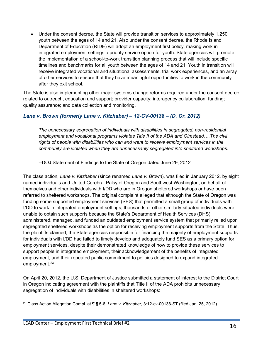• Under the consent decree, the State will provide transition services to approximately 1,250 youth between the ages of 14 and 21. Also under the consent decree, the Rhode Island Department of Education (RIDE) will adopt an employment first policy, making work in integrated employment settings a priority service option for youth. State agencies will promote the implementation of a school-to-work transition planning process that will include specific timelines and benchmarks for all youth between the ages of 14 and 21. Youth in transition will receive integrated vocational and situational assessments, trial work experiences, and an array of other services to ensure that they have meaningful opportunities to work in the community after they exit school.

The State is also implementing other major systems change reforms required under the consent decree related to outreach, education and support; provider capacity; interagency collaboration; funding; quality assurance; and data collection and monitoring.

### *Lane v. Brown (formerly Lane v. Kitzhaber) – 12-CV-00138 – (D. Or. 2012)*

*The unnecessary segregation of individuals with disabilities in segregated, non-residential employment and vocational programs violates Title II of the ADA and Olmstead….The civil rights of people with disabilities who can and want to receive employment services in the community are violated when they are unnecessarily segregated into sheltered workshops.*

--DOJ Statement of Findings to the State of Oregon dated June 29, 2012

The class action, *Lane v. Kitzhaber* (since renamed *Lane v. Brown*), was filed in January 2012, by eight named individuals and United Cerebral Palsy of Oregon and Southwest Washington, on behalf of themselves and other individuals with I/DD who are in Oregon sheltered workshops or have been referred to sheltered workshops. The original complaint alleged that although the State of Oregon was funding some supported employment services (SES) that permitted a small group of individuals with I/DD to work in integrated employment settings, thousands of other similarly-situated individuals were unable to obtain such supports because the State's Department of Health Services (DHS) administered, managed, and funded an outdated employment service system that primarily relied upon segregated sheltered workshops as the option for receiving employment supports from the State. Thus, the plaintiffs claimed, the State agencies responsible for financing the majority of employment supports for individuals with I/DD had failed to timely develop and adequately fund SES as a primary option for employment services, despite their demonstrated knowledge of how to provide these services to support people in integrated employment, their acknowledgement of the benefits of integrated employment, and their repeated public commitment to policies designed to expand integrated employment.<sup>23</sup>

On April 20, 2012, the U.S. Department of Justice submitted a statement of interest to the District Court in Oregon indicating agreement with the plaintiffs that Title II of the ADA prohibits unnecessary segregation of individuals with disabilities in sheltered workshops:

<span id="page-15-0"></span><sup>23</sup> Class Action Allegation Compl. at ¶ ¶ 5-6, *Lane v. Kitzhaber*, 3:12-cv-00138-ST (filed Jan. 25, 2012).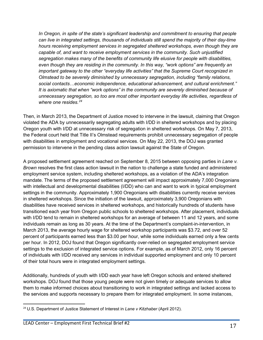In Oregon, in spite of the state's significant leadership and commitment to ensuring that people *can live in integrated settings, thousands of individuals still spend the majority of their day-time hours receiving employment services in segregated sheltered workshops, even though they are capable of, and want to receive employment services in the community. Such unjustified segregation makes many of the benefits of community life elusive for people with disabilities, even though they are residing in the community. In this way, "work options" are frequently an important gateway to the other "everyday life activities" that the Supreme Court recognized in Olmstead to be severely diminished by unnecessary segregation, including "family relations, social contacts…economic independence, educational advancement, and cultural enrichment." It is axiomatic that when "work options" in the community are severely diminished because of unnecessary segregation, so too are most other important everyday life activities, regardless of where one resides.[24](#page-16-0)* 

Then, in March 2013, the Department of Justice moved to intervene in the lawsuit, claiming that Oregon violated the ADA by unnecessarily segregating adults with I/DD in sheltered workshops and by placing Oregon youth with I/DD at unnecessary risk of segregation in sheltered workshops. On May 7, 2013, the Federal court held that Title II's Olmstead requirements prohibit unnecessary segregation of people with disabilities in employment and vocational services. On May 22, 2013, the DOJ was granted permission to intervene in the pending class action lawsuit against the State of Oregon.

A proposed settlement agreement reached on September 8, 2015 between opposing parties in *Lane v. Brown* resolves the first class action lawsuit in the nation to challenge a state funded and administered employment service system, including sheltered workshops, as a violation of the ADA's integration mandate. The terms of the proposed settlement agreement will impact approximately 7,000 Oregonians with intellectual and developmental disabilities (I/DD) who can and want to work in typical employment settings in the community. Approximately 1,900 Oregonians with disabilities currently receive services in sheltered workshops. Since the initiation of the lawsuit, approximately 3,900 Oregonians with disabilities have received services in sheltered workshops, and historically hundreds of students have transitioned each year from Oregon public schools to sheltered workshops. After placement, individuals with I/DD tend to remain in sheltered workshops for an average of between 11 and 12 years, and some individuals remain as long as 30 years. At the time of the Department's complaint-in-intervention, in March 2013, the average hourly wage for sheltered workshop participants was \$3.72, and over 52 percent of participants earned less than \$3.00 per hour, while some individuals earned only a few cents per hour. In 2012, DOJ found that Oregon significantly over-relied on segregated employment service settings to the exclusion of integrated service options. For example, as of March 2012, only 16 percent of individuals with I/DD received any services in individual supported employment and only 10 percent of their total hours were in integrated employment settings.

Additionally, hundreds of youth with I/DD each year have left Oregon schools and entered sheltered workshops. DOJ found that those young people were not given timely or adequate services to allow them to make informed choices about transitioning to work in integrated settings and lacked access to the services and supports necessary to prepare them for integrated employment. In some instances,

<span id="page-16-0"></span><sup>24</sup> U.S. Department of Justice Statement of Interest in *Lane v Kitzhaber* (April 2012).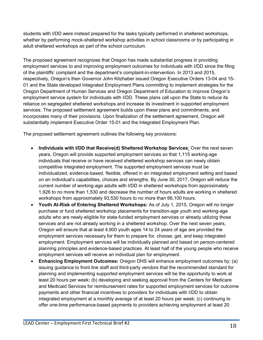students with I/DD were instead prepared for the tasks typically performed in sheltered workshops, whether by performing mock-sheltered workshop activities in school classrooms or by participating in adult sheltered workshops as part of the school curriculum.

The proposed agreement recognizes that Oregon has made substantial progress in providing employment services to and improving employment outcomes for individuals with I/DD since the filing of the plaintiffs' complaint and the department's complaint-in-intervention. In 2013 and 2015, respectively, Oregon's then Governor John Kitzhaber issued Oregon Executive Orders 13-04 and 15- 01 and the State developed Integrated Employment Plans committing to implement strategies for the Oregon Department of Human Services and Oregon Department of Education to improve Oregon's employment service system for individuals with I/DD. These plans call upon the State to reduce its reliance on segregated sheltered workshops and increase its investment in supported employment services. The proposed settlement agreement builds upon these plans and commitments, and incorporates many of their provisions. Upon finalization of the settlement agreement, Oregon will substantially implement Executive Order 15-01 and the Integrated Employment Plan.

The proposed settlement agreement outlines the following key provisions:

- **Individuals with I/DD that Receive(d) Sheltered Workshop Services**: Over the next seven years, Oregon will provide supported employment services so that 1,115 working-age individuals that receive or have received sheltered workshop services can newly obtain competitive integrated employment. The supported employment services must be individualized, evidence-based, flexible, offered in an integrated employment setting and based on an individual's capabilities, choices and strengths. By June 30, 2017, Oregon will reduce the current number of working-age adults with I/DD in sheltered workshops from approximately 1,926 to no more than 1,530 and decrease the number of hours adults are working in sheltered workshops from approximately 93,530 hours to no more than 66,100 hours.
- **Youth At-Risk of Entering Sheltered Workshops:** As of July 1, 2015, Oregon will no longer purchase or fund sheltered workshop placements for transition-age youth and working-age adults who are newly eligible for state-funded employment services or already utilizing those services and are not already working in a sheltered workshop. Over the next seven years, Oregon will ensure that at least 4,900 youth ages 14 to 24 years of age are provided the employment services necessary for them to prepare for, choose, get, and keep integrated employment. Employment services will be individually planned and based on person-centered planning principles and evidence-based practices. At least half of the young people who receive employment services will receive an individual plan for employment.
- **Enhancing Employment Outcomes:** Oregon DHS will enhance employment outcomes by: (a) issuing guidance to front line staff and third-party vendors that the recommended standard for planning and implementing supported employment services will be the opportunity to work at least 20 hours per week; (b) developing and seeking approval from the Centers for Medicare and Medicaid Services for reimbursement rates for supported employment services for outcome payments and other financial incentives to providers for individuals with I/DD to obtain integrated employment at a monthly average of at least 20 hours per week; (c) continuing to offer one-time performance-based payments to providers achieving employment at least 20